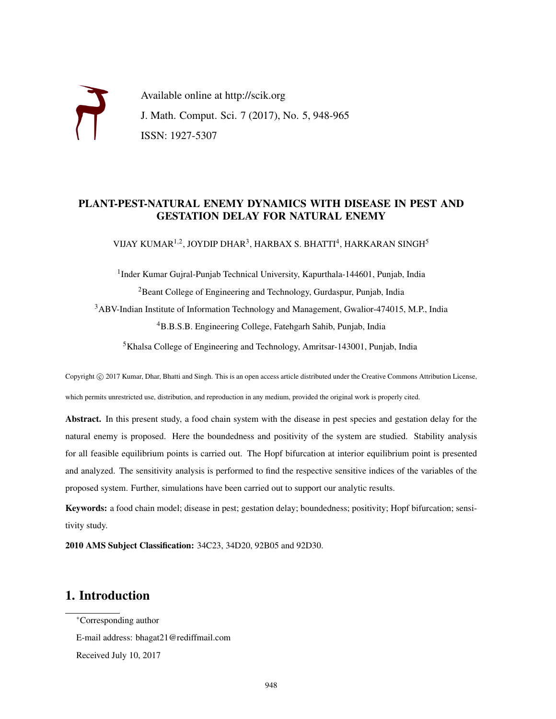Available online at http://scik.org J. Math. Comput. Sci. 7 (2017), No. 5, 948-965 ISSN: 1927-5307

### PLANT-PEST-NATURAL ENEMY DYNAMICS WITH DISEASE IN PEST AND GESTATION DELAY FOR NATURAL ENEMY

VIJAY KUMAR $^{1,2}$ , JOYDIP DHAR $^3$ , HARBAX S. BHATTI $^4$ , HARKARAN SINGH $^5$ 

<sup>1</sup>Inder Kumar Gujral-Punjab Technical University, Kapurthala-144601, Punjab, India <sup>2</sup>Beant College of Engineering and Technology, Gurdaspur, Punjab, India <sup>3</sup>ABV-Indian Institute of Information Technology and Management, Gwalior-474015, M.P., India <sup>4</sup>B.B.S.B. Engineering College, Fatehgarh Sahib, Punjab, India

<sup>5</sup>Khalsa College of Engineering and Technology, Amritsar-143001, Punjab, India

Copyright © 2017 Kumar, Dhar, Bhatti and Singh. This is an open access article distributed under the Creative Commons Attribution License, which permits unrestricted use, distribution, and reproduction in any medium, provided the original work is properly cited.

Abstract. In this present study, a food chain system with the disease in pest species and gestation delay for the natural enemy is proposed. Here the boundedness and positivity of the system are studied. Stability analysis for all feasible equilibrium points is carried out. The Hopf bifurcation at interior equilibrium point is presented and analyzed. The sensitivity analysis is performed to find the respective sensitive indices of the variables of the proposed system. Further, simulations have been carried out to support our analytic results.

Keywords: a food chain model; disease in pest; gestation delay; boundedness; positivity; Hopf bifurcation; sensitivity study.

2010 AMS Subject Classification: 34C23, 34D20, 92B05 and 92D30.

# 1. Introduction

<sup>∗</sup>Corresponding author

E-mail address: bhagat21@rediffmail.com

Received July 10, 2017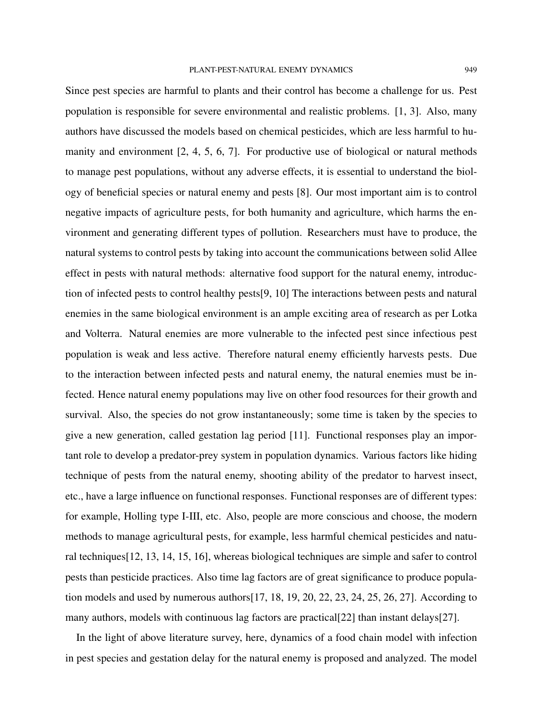population is responsible for severe environmental and realistic problems. [1, 3]. Also, many authors have discussed the models based on chemical pesticides, which are less harmful to humanity and environment [2, 4, 5, 6, 7]. For productive use of biological or natural methods to manage pest populations, without any adverse effects, it is essential to understand the biology of beneficial species or natural enemy and pests [8]. Our most important aim is to control negative impacts of agriculture pests, for both humanity and agriculture, which harms the environment and generating different types of pollution. Researchers must have to produce, the natural systems to control pests by taking into account the communications between solid Allee effect in pests with natural methods: alternative food support for the natural enemy, introduction of infected pests to control healthy pests[9, 10] The interactions between pests and natural enemies in the same biological environment is an ample exciting area of research as per Lotka and Volterra. Natural enemies are more vulnerable to the infected pest since infectious pest population is weak and less active. Therefore natural enemy efficiently harvests pests. Due to the interaction between infected pests and natural enemy, the natural enemies must be infected. Hence natural enemy populations may live on other food resources for their growth and survival. Also, the species do not grow instantaneously; some time is taken by the species to give a new generation, called gestation lag period [11]. Functional responses play an important role to develop a predator-prey system in population dynamics. Various factors like hiding technique of pests from the natural enemy, shooting ability of the predator to harvest insect, etc., have a large influence on functional responses. Functional responses are of different types: for example, Holling type I-III, etc. Also, people are more conscious and choose, the modern methods to manage agricultural pests, for example, less harmful chemical pesticides and natural techniques[12, 13, 14, 15, 16], whereas biological techniques are simple and safer to control pests than pesticide practices. Also time lag factors are of great significance to produce population models and used by numerous authors $[17, 18, 19, 20, 22, 23, 24, 25, 26, 27]$ . According to many authors, models with continuous lag factors are practical [22] than instant delays [27].

In the light of above literature survey, here, dynamics of a food chain model with infection in pest species and gestation delay for the natural enemy is proposed and analyzed. The model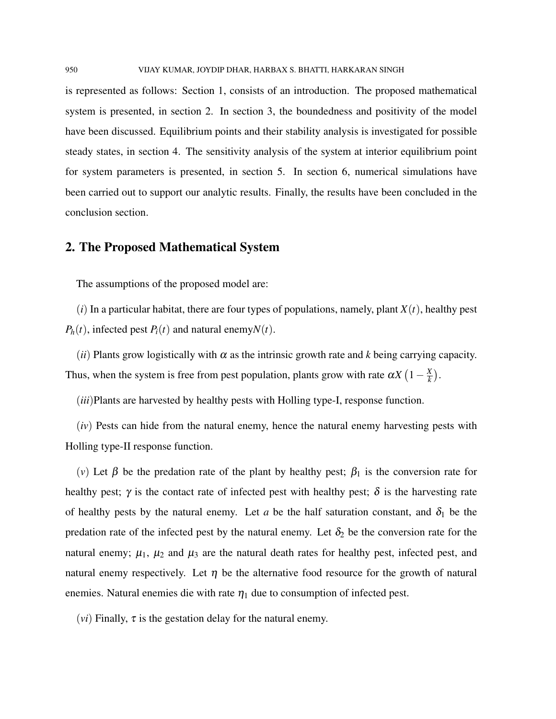is represented as follows: Section 1, consists of an introduction. The proposed mathematical system is presented, in section 2. In section 3, the boundedness and positivity of the model have been discussed. Equilibrium points and their stability analysis is investigated for possible steady states, in section 4. The sensitivity analysis of the system at interior equilibrium point for system parameters is presented, in section 5. In section 6, numerical simulations have been carried out to support our analytic results. Finally, the results have been concluded in the conclusion section.

### 2. The Proposed Mathematical System

The assumptions of the proposed model are:

 $(i)$  In a particular habitat, there are four types of populations, namely, plant  $X(t)$ , healthy pest  $P_h(t)$ , infected pest  $P_i(t)$  and natural enemy $N(t)$ .

(*ii*) Plants grow logistically with  $\alpha$  as the intrinsic growth rate and *k* being carrying capacity. Thus, when the system is free from pest population, plants grow with rate  $\alpha X(1-\frac{X}{k})$  $\frac{X}{k}$ .

(*iii*)Plants are harvested by healthy pests with Holling type-I, response function.

(*iv*) Pests can hide from the natural enemy, hence the natural enemy harvesting pests with Holling type-II response function.

(*v*) Let  $\beta$  be the predation rate of the plant by healthy pest;  $\beta_1$  is the conversion rate for healthy pest;  $\gamma$  is the contact rate of infected pest with healthy pest;  $\delta$  is the harvesting rate of healthy pests by the natural enemy. Let *a* be the half saturation constant, and  $\delta_1$  be the predation rate of the infected pest by the natural enemy. Let  $\delta_2$  be the conversion rate for the natural enemy;  $\mu_1$ ,  $\mu_2$  and  $\mu_3$  are the natural death rates for healthy pest, infected pest, and natural enemy respectively. Let  $\eta$  be the alternative food resource for the growth of natural enemies. Natural enemies die with rate  $\eta_1$  due to consumption of infected pest.

(*vi*) Finally,  $\tau$  is the gestation delay for the natural enemy.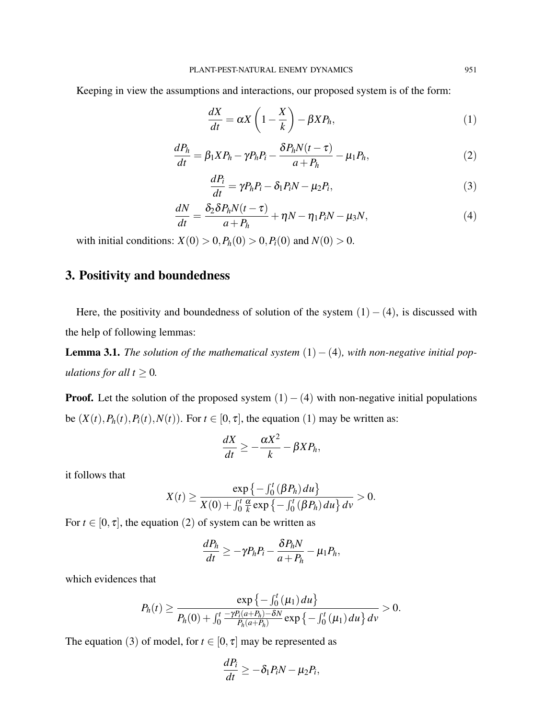Keeping in view the assumptions and interactions, our proposed system is of the form:

$$
\frac{dX}{dt} = \alpha X \left( 1 - \frac{X}{k} \right) - \beta X P_h, \tag{1}
$$

$$
\frac{dP_h}{dt} = \beta_1 X P_h - \gamma P_h P_i - \frac{\delta P_h N(t - \tau)}{a + P_h} - \mu_1 P_h,\tag{2}
$$

$$
\frac{dP_i}{dt} = \gamma P_h P_i - \delta_1 P_i N - \mu_2 P_i,\tag{3}
$$

$$
\frac{dN}{dt} = \frac{\delta_2 \delta P_h N(t-\tau)}{a+P_h} + \eta N - \eta_1 P_i N - \mu_3 N,\tag{4}
$$

with initial conditions:  $X(0) > 0, P_h(0) > 0, P_i(0)$  and  $N(0) > 0$ .

# 3. Positivity and boundedness

Here, the positivity and boundedness of solution of the system  $(1) - (4)$ , is discussed with the help of following lemmas:

**Lemma 3.1.** *The solution of the mathematical system*  $(1) - (4)$ *, with non-negative initial populations for all*  $t \geq 0$ *.* 

**Proof.** Let the solution of the proposed system  $(1) - (4)$  with non-negative initial populations be  $(X(t), P_h(t), P_i(t), N(t))$ . For  $t \in [0, \tau]$ , the equation (1) may be written as:

$$
\frac{dX}{dt} \geq -\frac{\alpha X^2}{k} - \beta X P_h,
$$

it follows that

$$
X(t) \geq \frac{\exp\{-\int_0^t (\beta P_h) du\}}{X(0) + \int_0^t \frac{\alpha}{k} \exp\{-\int_0^t (\beta P_h) du\} dv} > 0.
$$

For  $t \in [0, \tau]$ , the equation (2) of system can be written as

$$
\frac{dP_h}{dt} \ge -\gamma P_h P_i - \frac{\delta P_h N}{a + P_h} - \mu_1 P_h,
$$

which evidences that

$$
P_h(t) \geq \frac{\exp\left\{-\int_0^t (\mu_1) du\right\}}{P_h(0) + \int_0^t \frac{-\gamma P_i(a+P_h) - \delta N}{P_h(a+P_h)} \exp\left\{-\int_0^t (\mu_1) du\right\} dv} > 0.
$$

The equation (3) of model, for  $t \in [0, \tau]$  may be represented as

$$
\frac{dP_i}{dt} \geq -\delta_1 P_i N - \mu_2 P_i,
$$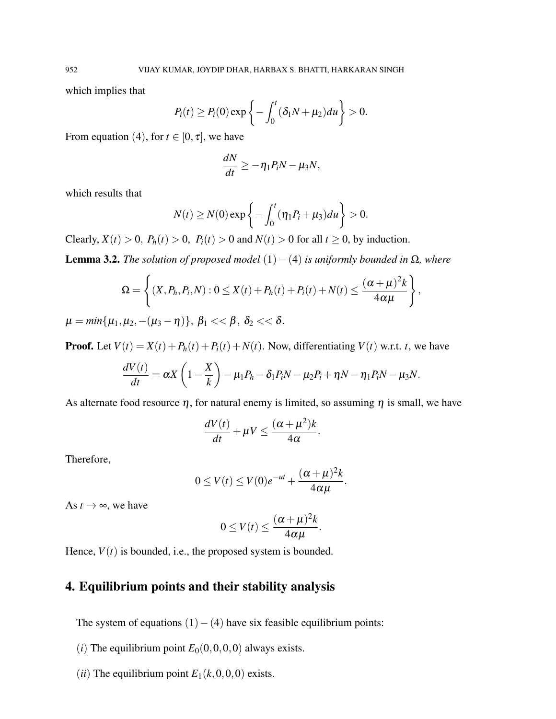which implies that

$$
P_i(t) \ge P_i(0) \exp\left\{-\int_0^t (\delta_1 N + \mu_2) du\right\} > 0.
$$

From equation (4), for  $t \in [0, \tau]$ , we have

$$
\frac{dN}{dt} \geq -\eta_1 P_i N - \mu_3 N,
$$

which results that

$$
N(t)\geq N(0)\exp\left\{-\int_0^t(\eta_1P_t+\mu_3)du\right\}>0.
$$

Clearly,  $X(t) > 0$ ,  $P_h(t) > 0$ ,  $P_i(t) > 0$  and  $N(t) > 0$  for all  $t \ge 0$ , by induction.

**Lemma 3.2.** *The solution of proposed model*  $(1) − (4)$  *is uniformly bounded in*  $\Omega$ *, where* 

$$
\Omega = \left\{ (X, P_h, P_i, N) : 0 \le X(t) + P_h(t) + P_i(t) + N(t) \le \frac{(\alpha + \mu)^2 k}{4\alpha\mu} \right\},
$$
  

$$
\mu = \min\{\mu_1, \mu_2, -(\mu_3 - \eta)\}, \ \beta_1 << \beta, \ \delta_2 << \delta.
$$

**Proof.** Let  $V(t) = X(t) + P_h(t) + P_i(t) + N(t)$ . Now, differentiating  $V(t)$  w.r.t. *t*, we have

$$
\frac{dV(t)}{dt} = \alpha X \left(1 - \frac{X}{k}\right) - \mu_1 P_h - \delta_1 P_i N - \mu_2 P_i + \eta N - \eta_1 P_i N - \mu_3 N.
$$

As alternate food resource  $\eta$ , for natural enemy is limited, so assuming  $\eta$  is small, we have

$$
\frac{dV(t)}{dt} + \mu V \le \frac{(\alpha + \mu^2)k}{4\alpha}.
$$

Therefore,

$$
0 \le V(t) \le V(0)e^{-ut} + \frac{(\alpha + \mu)^2 k}{4\alpha\mu}.
$$

As  $t \to \infty$ , we have

$$
0\leq V(t)\leq \frac{(\alpha+\mu)^2k}{4\alpha\mu}.
$$

Hence,  $V(t)$  is bounded, i.e., the proposed system is bounded.

# 4. Equilibrium points and their stability analysis

The system of equations  $(1) - (4)$  have six feasible equilibrium points:

- (*i*) The equilibrium point  $E_0(0,0,0,0)$  always exists.
- (*ii*) The equilibrium point  $E_1(k,0,0,0)$  exists.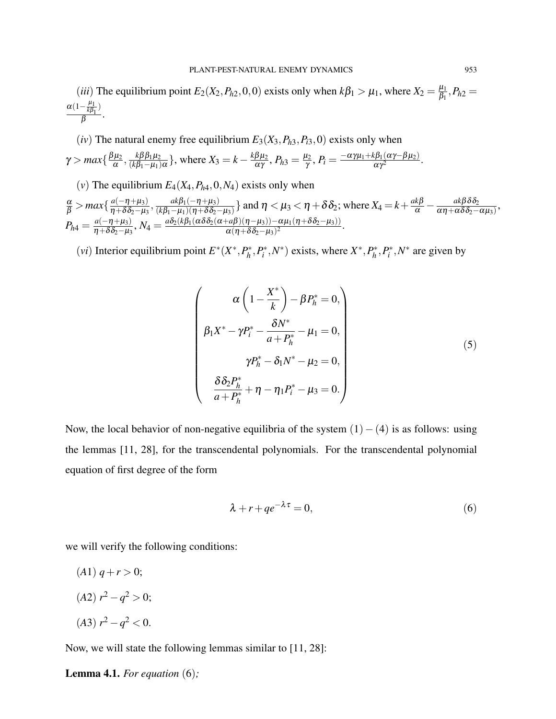(*iii*) The equilibrium point  $E_2(X_2, P_{h2}, 0, 0)$  exists only when  $k\beta_1 > \mu_1$ , where  $X_2 = \frac{\mu_1}{\beta_1}$  $\frac{\mu_1}{\beta_1}, P_{h2} =$  $\frac{\alpha(1-\frac{\mu_1}{k\beta_1})}{\alpha}$  $\frac{\kappa p_1}{\beta}$ .

(*iv*) The natural enemy free equilibrium  $E_3(X_3, P_{h3}, P_{h3}, 0)$  exists only when

$$
\gamma > \max\{\frac{\beta\mu_2}{\alpha},\frac{k\beta\beta_1\mu_2}{(k\beta_1-\mu_1)\alpha}\},\text{ where } X_3 = k - \frac{k\beta\mu_2}{\alpha\gamma}, P_{h3} = \frac{\mu_2}{\gamma}, P_i = \frac{-\alpha\gamma\mu_1 + k\beta_1(\alpha\gamma - \beta\mu_2)}{\alpha\gamma^2}.
$$

(*v*) The equilibrium  $E_4(X_4, P_{h4}, 0, N_4)$  exists only when

$$
\frac{\alpha}{\beta} > \max\{\frac{a(-\eta + \mu_3)}{\eta + \delta \delta_2 - \mu_3}, \frac{ak\beta_1(-\eta + \mu_3)}{(k\beta_1 - \mu_1)(\eta + \delta \delta_2 - \mu_3)}\} \text{ and } \eta < \mu_3 < \eta + \delta \delta_2; \text{ where } X_4 = k + \frac{ak\beta}{\alpha} - \frac{ak\beta \delta_2}{\alpha \eta + \alpha \delta \delta_2 - \alpha \mu_3},
$$
\n
$$
P_{h4} = \frac{a(-\eta + \mu_3)}{\eta + \delta \delta_2 - \mu_3}, N_4 = \frac{a\delta_2(k\beta_1(\alpha\delta\delta_2(\alpha + a\beta)(\eta - \mu_3)) - \alpha\mu_1(\eta + \delta\delta_2 - \mu_3))}{\alpha(\eta + \delta \delta_2 - \mu_3)^2}.
$$

(*vi*) Interior equilibrium point  $E^*(X^*, P_h^*)$  $P_i^*, P_i^*, N^*$  exists, where  $X^*, P_h^*$  $P_h^*, P_i^*, N^*$  are given by

$$
\begin{pmatrix}\n\alpha \left(1 - \frac{X^*}{k}\right) - \beta P_h^* = 0, \\
\beta_1 X^* - \gamma P_i^* - \frac{\delta N^*}{a + P_h^*} - \mu_1 = 0, \\
\gamma P_h^* - \delta_1 N^* - \mu_2 = 0, \\
\frac{\delta \delta_2 P_h^*}{a + P_h^*} + \eta - \eta_1 P_i^* - \mu_3 = 0.\n\end{pmatrix}
$$
\n(5)

Now, the local behavior of non-negative equilibria of the system  $(1) - (4)$  is as follows: using the lemmas [11, 28], for the transcendental polynomials. For the transcendental polynomial equation of first degree of the form

$$
\lambda + r + q e^{-\lambda \tau} = 0,\tag{6}
$$

we will verify the following conditions:

 $(A1)$   $q + r > 0$ ;  $(A2)$   $r^2 - q^2 > 0$ ;

$$
(A3) r^2 - q^2 < 0.
$$

Now, we will state the following lemmas similar to [11, 28]:

Lemma 4.1. *For equation* (6)*;*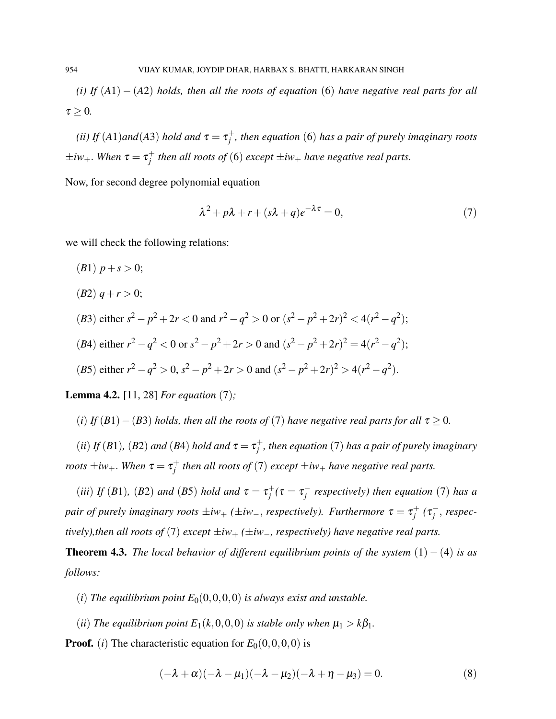*(i) If* (*A*1) − (*A*2) *holds, then all the roots of equation* (6) *have negative real parts for all*  $\tau > 0$ .

*(ii)* If  $(A1)$ and $(A3)$  *hold and*  $\tau = \tau_i^+$ *j , then equation* (6) *has a pair of purely imaginary roots*  $\pm iw_+$ . *When*  $\tau = \tau_i^+$ *j then all roots of* (6) *except* ±*iw*<sup>+</sup> *have negative real parts.*

Now, for second degree polynomial equation

$$
\lambda^2 + p\lambda + r + (s\lambda + q)e^{-\lambda\tau} = 0,\tag{7}
$$

we will check the following relations:

- (*B*1)  $p + s > 0$ ;
- $(B2)$   $q + r > 0$ ;
- (*B*3) either  $s^2 p^2 + 2r < 0$  and  $r^2 q^2 > 0$  or  $(s^2 p^2 + 2r)^2 < 4(r^2 q^2)$ ; (*B*4) either  $r^2 - q^2 < 0$  or  $s^2 - p^2 + 2r > 0$  and  $(s^2 - p^2 + 2r)^2 = 4(r^2 - q^2);$

(B5) either 
$$
r^2 - q^2 > 0
$$
,  $s^2 - p^2 + 2r > 0$  and  $(s^2 - p^2 + 2r)^2 > 4(r^2 - q^2)$ .

Lemma 4.2. [11, 28] *For equation* (7)*;*

(*i*) *If* (*B*1) − (*B*3) *holds, then all the roots of* (*7*) *have negative real parts for all*  $\tau \ge 0$ *.* 

(*ii*) *If* (*B*1)*,* (*B*2) *and* (*B*4) *hold and*  $\tau = \tau_i^+$ *j , then equation* (7) *has a pair of purely imaginary roots*  $\pm iw_+$ *. When*  $\tau = \tau_i^+$ *j then all roots of* (7) *except* ±*iw*<sup>+</sup> *have negative real parts.*

(*iii*) *If* (*B*1)*,* (*B*2) *and* (*B*5) *hold and*  $\tau = \tau_i^+$  $j^+$ ( $\tau = \tau_j^$ *j respectively) then equation* (7) *has a pair of purely imaginary roots*  $\pm iw_+$  *(* $\pm iw_-,$  *respectively). Furthermore*  $\tau = \tau_i^+$  $j^+$  (τ $^$ *j* , *respectively), then all roots of* (7) *except*  $\pm iw_+$  ( $\pm iw_-,$  *respectively) have negative real parts.* 

**Theorem 4.3.** *The local behavior of different equilibrium points of the system*  $(1) - (4)$  *is as follows:*

- (*i*) The equilibrium point  $E_0(0,0,0,0)$  *is always exist and unstable.*
- (*ii*) *The equilibrium point*  $E_1(k,0,0,0)$  *is stable only when*  $\mu_1 > k\beta_1$ *.*

**Proof.** (*i*) The characteristic equation for  $E_0(0,0,0,0)$  is

$$
(-\lambda + \alpha)(-\lambda - \mu_1)(-\lambda - \mu_2)(-\lambda + \eta - \mu_3) = 0. \tag{8}
$$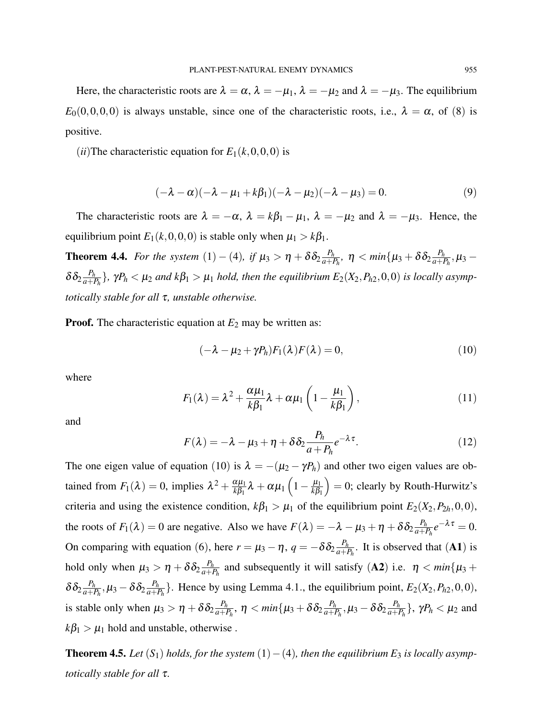Here, the characteristic roots are  $\lambda = \alpha$ ,  $\lambda = -\mu_1$ ,  $\lambda = -\mu_2$  and  $\lambda = -\mu_3$ . The equilibrium  $E_0(0,0,0,0)$  is always unstable, since one of the characteristic roots, i.e.,  $\lambda = \alpha$ , of (8) is positive.

 $(iii)$ The characteristic equation for  $E_1(k,0,0,0)$  is

$$
(-\lambda - \alpha)(-\lambda - \mu_1 + k\beta_1)(-\lambda - \mu_2)(-\lambda - \mu_3) = 0. \tag{9}
$$

The characteristic roots are  $\lambda = -\alpha$ ,  $\lambda = k\beta_1 - \mu_1$ ,  $\lambda = -\mu_2$  and  $\lambda = -\mu_3$ . Hence, the equilibrium point  $E_1(k,0,0,0)$  is stable only when  $\mu_1 > k\beta_1$ .

**Theorem 4.4.** For the system  $(1) - (4)$ , if  $\mu_3 > \eta + \delta \delta_2 \frac{P_h}{a+1}$  $\frac{P_h}{a+P_h}$ ,  $\eta < min\{\mu_3+\delta \delta_2 \frac{P_h}{a+P_h}\}$  $\frac{P_h}{a+P_h}, \mu_3 \delta \delta_2 \frac{P_h}{a+1}$  $\frac{P_h}{a+P_h}$ },  $\gamma P_h < \mu_2$  and  $k\beta_1 > \mu_1$  hold, then the equilibrium  $E_2(X_2, P_{h2}, 0, 0)$  is locally asymp*totically stable for all* τ*, unstable otherwise.*

**Proof.** The characteristic equation at  $E_2$  may be written as:

$$
(-\lambda - \mu_2 + \gamma P_h)F_1(\lambda)F(\lambda) = 0, \qquad (10)
$$

where

$$
F_1(\lambda) = \lambda^2 + \frac{\alpha \mu_1}{k \beta_1} \lambda + \alpha \mu_1 \left( 1 - \frac{\mu_1}{k \beta_1} \right), \qquad (11)
$$

and

$$
F(\lambda) = -\lambda - \mu_3 + \eta + \delta \delta_2 \frac{P_h}{a + P_h} e^{-\lambda \tau}.
$$
 (12)

The one eigen value of equation (10) is  $\lambda = -(\mu_2 - \gamma P_h)$  and other two eigen values are obtained from  $F_1(\lambda) = 0$ , implies  $\lambda^2 + \frac{\alpha \mu_1}{k \beta_1}$  $\frac{\alpha \mu_1}{k\beta_1} \lambda + \alpha \mu_1 \left(1 - \frac{\mu_1}{k\beta_1}\right)$ *k*β<sup>1</sup>  $= 0$ ; clearly by Routh-Hurwitz's criteria and using the existence condition,  $k\beta_1 > \mu_1$  of the equilibrium point  $E_2(X_2, P_{2h}, 0, 0)$ , the roots of  $F_1(\lambda) = 0$  are negative. Also we have  $F(\lambda) = -\lambda - \mu_3 + \eta + \delta \delta_2 \frac{P_h}{a+1}$  $\frac{P_h}{a+P_h}e^{-\lambda\tau}=0.$ On comparing with equation (6), here  $r = \mu_3 - \eta$ ,  $q = -\delta \delta_2 \frac{P_h}{a+1}$  $\frac{P_h}{a+P_h}$ . It is observed that  **is** hold only when  $\mu_3 > \eta + \delta \delta_2 \frac{P_h}{a+1}$  $\frac{P_h}{a+P_h}$  and subsequently it will satisfy (A2) i.e.  $\eta < min\{\mu_3 + \sigma_4\}$  $\delta \delta_2 \frac{P_h}{a+I}$  $\frac{P_h}{a+P_h}, \mu_3-\delta \delta_2 \frac{P_h}{a+P_h}$  $\frac{P_h}{a+P_h}$ . Hence by using Lemma 4.1., the equilibrium point,  $E_2(X_2, P_{h2}, 0, 0)$ , is stable only when  $\mu_3 > \eta + \delta \delta_2 \frac{P_h}{a+1}$  $\frac{P_h}{a+P_h}, \ \eta < min\{\mu_3+\delta \delta_2 \frac{P_h}{a+P_h}\}$  $\frac{P_h}{a+P_h}, \mu_3-\delta \delta_2 \frac{P_h}{a+P_h}$  $\frac{P_h}{a+P_h}$ },  $\gamma P_h < \mu_2$  and  $k\beta_1 > \mu_1$  hold and unstable, otherwise.

**Theorem 4.5.** *Let*  $(S_1)$  *holds, for the system*  $(1) - (4)$ *, then the equilibrium*  $E_3$  *is locally asymptotically stable for all* τ*.*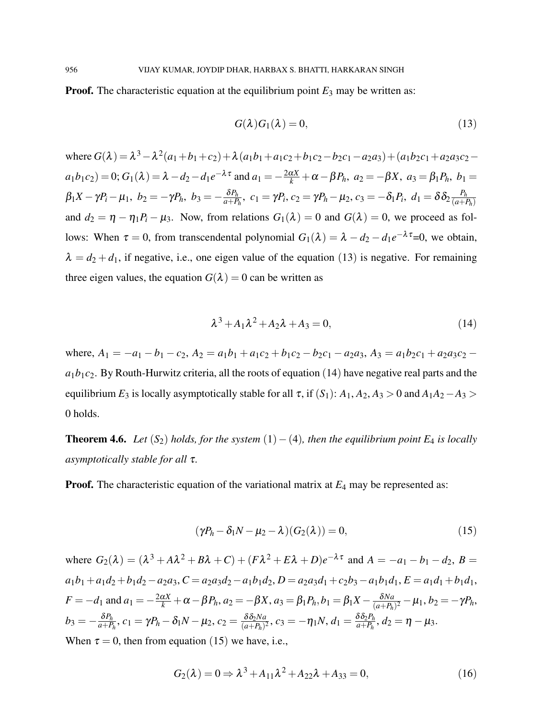**Proof.** The characteristic equation at the equilibrium point  $E_3$  may be written as:

$$
G(\lambda)G_1(\lambda) = 0, \qquad (13)
$$

 $\lambda^{3}-\lambda^{2}(a_{1}+b_{1}+c_{2})+\lambda(a_{1}b_{1}+a_{1}c_{2}+b_{1}c_{2}-b_{2}c_{1}-a_{2}a_{3})+(a_{1}b_{2}c_{1}+a_{2}a_{3}c_{2}-b_{3}c_{3}+c_{4}a_{1}c_{2}+b_{1}c_{3}+c_{5}a_{1}c_{1}+c_{6}a_{1}c_{2}+c_{7}a_{1}c_{3}+c_{8}a_{1}c_{2}+c_{9}a_{1}c_{3}+c_{1}a_{1}c_{2}+c_{1}a_{2}c_{3}+c_{1}$  $a_1b_1c_2$  = 0;  $G_1(\lambda) = \lambda - d_2 - d_1e^{-\lambda \tau}$  and  $a_1 = -\frac{2\alpha X}{k} + \alpha - \beta P_h$ ,  $a_2 = -\beta X$ ,  $a_3 = \beta_1 P_h$ ,  $b_1 =$  $\beta_1X-\gamma P_i-\mu_1,\,\, b_2=-\gamma P_h,\,\, b_3=-\frac{\delta P_h}{a+P}$  $\frac{\delta P_h}{a+P_h},\,\,c_1=\gamma P_i,\,c_2=\gamma P_h-\mu_2,\,c_3=-\delta_1 P_i,\,\,d_1=\delta \delta_2 \frac{P_h}{(a+P_h)}$  $(a+P_h)$ and  $d_2 = \eta - \eta_1 P_i - \mu_3$ . Now, from relations  $G_1(\lambda) = 0$  and  $G(\lambda) = 0$ , we proceed as follows: When  $\tau = 0$ , from transcendental polynomial  $G_1(\lambda) = \lambda - d_2 - d_1 e^{-\lambda \tau} = 0$ , we obtain,  $\lambda = d_2 + d_1$ , if negative, i.e., one eigen value of the equation (13) is negative. For remaining three eigen values, the equation  $G(\lambda) = 0$  can be written as

$$
\lambda^3 + A_1 \lambda^2 + A_2 \lambda + A_3 = 0,\tag{14}
$$

where,  $A_1 = -a_1 - b_1 - c_2$ ,  $A_2 = a_1b_1 + a_1c_2 + b_1c_2 - b_2c_1 - a_2a_3$ ,  $A_3 = a_1b_2c_1 + a_2a_3c_2$  $a_1b_1c_2$ . By Routh-Hurwitz criteria, all the roots of equation (14) have negative real parts and the equilibrium *E*<sub>3</sub> is locally asymptotically stable for all  $\tau$ , if  $(S_1)$ :  $A_1$ ,  $A_2$ ,  $A_3 > 0$  and  $A_1A_2 - A_3 >$ 0 holds.

**Theorem 4.6.** *Let*  $(S_2)$  *holds, for the system*  $(1) - (4)$ *, then the equilibrium point E<sub>4</sub> is locally asymptotically stable for all* τ*.*

**Proof.** The characteristic equation of the variational matrix at  $E_4$  may be represented as:

$$
(\gamma P_h - \delta_1 N - \mu_2 - \lambda)(G_2(\lambda)) = 0,
$$
\n(15)

where  $G_2(\lambda) = (\lambda^3 + A\lambda^2 + B\lambda + C) + (F\lambda^2 + E\lambda + D)e^{-\lambda\tau}$  and  $A = -a_1 - b_1 - d_2$ ,  $B =$  $a_1b_1 + a_1d_2 + b_1d_2 - a_2a_3$ ,  $C = a_2a_3d_2 - a_1b_1d_2$ ,  $D = a_2a_3d_1 + c_2b_3 - a_1b_1d_1$ ,  $E = a_1d_1 + b_1d_1$ , *F* = −*d*<sub>1</sub> and *a*<sub>1</sub> = − $\frac{2\alpha X}{k}$  + α − β*P*<sub>*h*</sub>, *a*<sub>2</sub> = −β*X*, *a*<sub>3</sub> = β<sub>1</sub>*P*<sub>*h*</sub>, *b*<sub>1</sub> = β<sub>1</sub>*X* −  $\frac{\delta Na}{(a+P_h)}$  $\frac{\partial Na}{(a+P_h)^2} - \mu_1, b_2 = -\gamma P_h,$  $b_3 = -\frac{\delta P_h}{a+P}$  $\frac{\delta P_h}{a+P_h},\,c_1=\gamma P_h-\delta_1 N-\mu_2,\,c_2=\frac{\delta \delta_2 N a}{(a+P_h)^2}$  $\frac{\delta \delta_2 N a}{(a+P_h)^2}, c_3 = -\eta_1 N, d_1 = \frac{\delta \delta_2 P_h}{a+P_h}$  $\frac{\partial o_2 P_h}{a + P_h}, d_2 = \eta - \mu_3.$ When  $\tau = 0$ , then from equation (15) we have, i.e.,

$$
G_2(\lambda) = 0 \Rightarrow \lambda^3 + A_{11}\lambda^2 + A_{22}\lambda + A_{33} = 0,
$$
\n(16)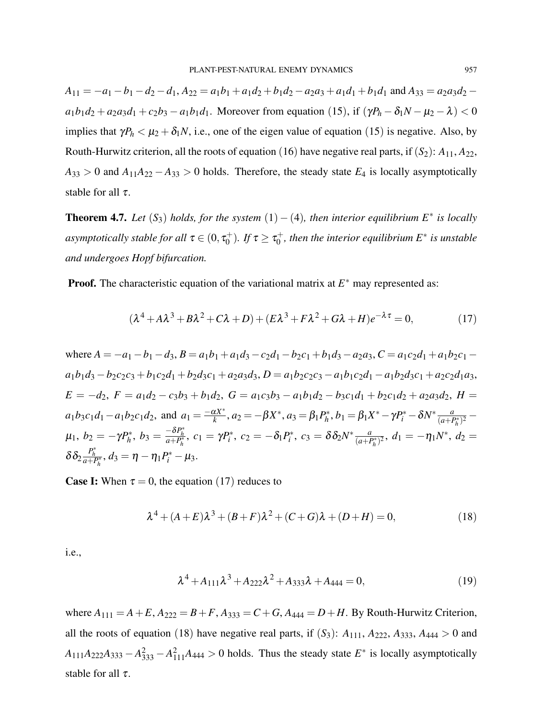$A_{11} = -a_1 - b_1 - d_2 - d_1$ ,  $A_{22} = a_1b_1 + a_1d_2 + b_1d_2 - a_2a_3 + a_1d_1 + b_1d_1$  and  $A_{33} = a_2a_3d_2$  $a_1b_1d_2 + a_2a_3d_1 + c_2b_3 - a_1b_1d_1$ . Moreover from equation (15), if  $(\gamma P_h - \delta_1 N - \mu_2 - \lambda) < 0$ implies that  $\gamma P_h < \mu_2 + \delta_1 N$ , i.e., one of the eigen value of equation (15) is negative. Also, by Routh-Hurwitz criterion, all the roots of equation (16) have negative real parts, if  $(S_2)$ :  $A_{11}$ ,  $A_{22}$ ,  $A_{33} > 0$  and  $A_{11}A_{22} - A_{33} > 0$  holds. Therefore, the steady state  $E_4$  is locally asymptotically stable for all  $\tau$ .

**Theorem 4.7.** Let  $(S_3)$  holds, for the system  $(1) - (4)$ , then interior equilibrium  $E^*$  is locally asymptotically stable for all  $\tau$   $\in$   $(0,\tau_0^+)$  $j_0^{\text{+}}$ ). If  $\tau \geq \tau_0^+$ 0 *, then the interior equilibrium E*<sup>∗</sup> *is unstable and undergoes Hopf bifurcation.*

**Proof.** The characteristic equation of the variational matrix at  $E^*$  may represented as:

$$
(\lambda^4 + A\lambda^3 + B\lambda^2 + C\lambda + D) + (E\lambda^3 + F\lambda^2 + G\lambda + H)e^{-\lambda\tau} = 0,
$$
\n(17)

where  $A = -a_1 - b_1 - d_3$ ,  $B = a_1b_1 + a_1d_3 - c_2d_1 - b_2c_1 + b_1d_3 - a_2a_3$ ,  $C = a_1c_2d_1 + a_1b_2c_1$  $a_1b_1d_3 - b_2c_2c_3 + b_1c_2d_1 + b_2d_3c_1 + a_2a_3d_3$ ,  $D = a_1b_2c_2c_3 - a_1b_1c_2d_1 - a_1b_2d_3c_1 + a_2c_2d_1a_3$ ,  $E = -d_2$ ,  $F = a_1d_2 - c_3b_3 + b_1d_2$ ,  $G = a_1c_3b_3 - a_1b_1d_2 - b_3c_1d_1 + b_2c_1d_2 + a_2a_3d_2$ ,  $H =$  $a_1b_3c_1d_1 - a_1b_2c_1d_2$ , and  $a_1 = \frac{-\alpha X^*}{k}$  $\frac{dX^*}{dx^*}$ ,  $a_2 = -\beta X^*$ ,  $a_3 = \beta_1 P_h^*$  $b_1^*, b_1 = \beta_1 X^* - \gamma P_i^* - \delta N^* \frac{a}{(a + B)^2}$  $\frac{a}{(a+P_h^*)^2}$  –  $\mu_1, b_2 = -\gamma P_h^*$  $b_3^*, b_3 = \frac{-\delta P_h^*}{a + P_h^*}, c_1 = \gamma P_i^*, c_2 = -\delta_1 P_i^*, c_3 = \delta \delta_2 N^* \frac{a}{(a + P_h^*)}$  $\frac{a}{(a+P_h^*)^2}$ ,  $d_1 = -\eta_1 N^*$ ,  $d_2 =$  $\delta \delta_2 \frac{P_h^*}{a+P_h^*}, d_3 = \eta - \eta_1 P_i^* - \mu_3.$ 

**Case I:** When  $\tau = 0$ , the equation (17) reduces to

$$
\lambda^{4} + (A+E)\lambda^{3} + (B+F)\lambda^{2} + (C+G)\lambda + (D+H) = 0,
$$
\n(18)

i.e.,

$$
\lambda^4 + A_{111}\lambda^3 + A_{222}\lambda^2 + A_{333}\lambda + A_{444} = 0,\tag{19}
$$

where  $A_{111} = A + E$ ,  $A_{222} = B + F$ ,  $A_{333} = C + G$ ,  $A_{444} = D + H$ . By Routh-Hurwitz Criterion, all the roots of equation (18) have negative real parts, if  $(S_3)$ :  $A_{111}$ ,  $A_{222}$ ,  $A_{333}$ ,  $A_{444} > 0$  and  $A_{111}A_{222}A_{333} - A_{333}^2 - A_{111}^2A_{444} > 0$  holds. Thus the steady state  $E^*$  is locally asymptotically stable for all  $\tau$ .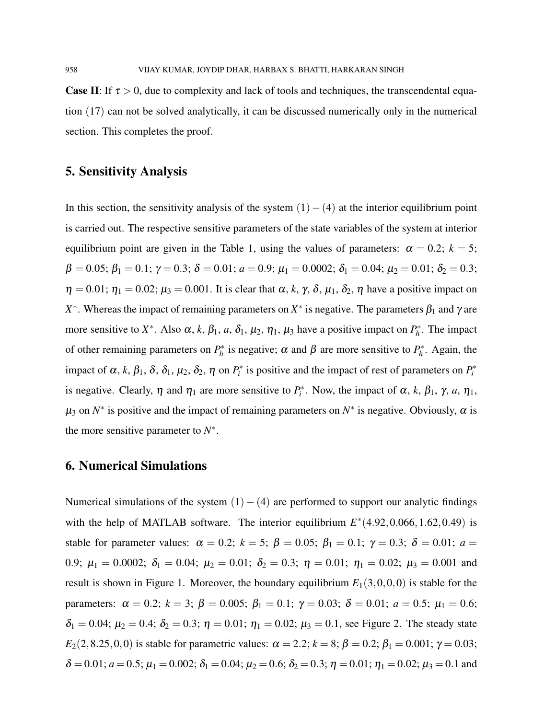**Case II:** If  $\tau > 0$ , due to complexity and lack of tools and techniques, the transcendental equation (17) can not be solved analytically, it can be discussed numerically only in the numerical section. This completes the proof.

## 5. Sensitivity Analysis

In this section, the sensitivity analysis of the system  $(1)-(4)$  at the interior equilibrium point is carried out. The respective sensitive parameters of the state variables of the system at interior equilibrium point are given in the Table 1, using the values of parameters:  $\alpha = 0.2$ ;  $k = 5$ ;  $\beta = 0.05; \beta_1 = 0.1; \gamma = 0.3; \delta = 0.01; a = 0.9; \mu_1 = 0.0002; \delta_1 = 0.04; \mu_2 = 0.01; \delta_2 = 0.3;$  $\eta = 0.01$ ;  $\eta_1 = 0.02$ ;  $\mu_3 = 0.001$ . It is clear that  $\alpha$ , k,  $\gamma$ ,  $\delta$ ,  $\mu_1$ ,  $\delta_2$ ,  $\eta$  have a positive impact on  $X^*$ . Whereas the impact of remaining parameters on  $X^*$  is negative. The parameters  $\beta_1$  and  $\gamma$  are more sensitive to *X*<sup>\*</sup>. Also  $\alpha$ , *k*,  $\beta_1$ , *a*,  $\delta_1$ ,  $\mu_2$ ,  $\eta_1$ ,  $\mu_3$  have a positive impact on  $P_h^*$  $p_h^*$ . The impact of other remaining parameters on  $P_h^*$  $h_h^*$  is negative;  $\alpha$  and  $\beta$  are more sensitive to  $P_h^*$  $h^*$ . Again, the impact of  $\alpha$ ,  $k$ ,  $\beta_1$ ,  $\delta$ ,  $\delta_1$ ,  $\mu_2$ ,  $\delta_2$ ,  $\eta$  on  $P_i^*$  is positive and the impact of rest of parameters on  $P_i^*$ is negative. Clearly,  $\eta$  and  $\eta_1$  are more sensitive to  $P_i^*$ . Now, the impact of  $\alpha$ ,  $k$ ,  $\beta_1$ ,  $\gamma$ ,  $a$ ,  $\eta_1$ ,  $\mu_3$  on  $N^*$  is positive and the impact of remaining parameters on  $N^*$  is negative. Obviously,  $\alpha$  is the more sensitive parameter to  $N^*$ .

## 6. Numerical Simulations

Numerical simulations of the system  $(1) - (4)$  are performed to support our analytic findings with the help of MATLAB software. The interior equilibrium  $E^*(4.92, 0.066, 1.62, 0.49)$  is stable for parameter values:  $\alpha = 0.2$ ;  $k = 5$ ;  $\beta = 0.05$ ;  $\beta_1 = 0.1$ ;  $\gamma = 0.3$ ;  $\delta = 0.01$ ;  $a =$ 0.9;  $\mu_1 = 0.0002$ ;  $\delta_1 = 0.04$ ;  $\mu_2 = 0.01$ ;  $\delta_2 = 0.3$ ;  $\eta = 0.01$ ;  $\eta_1 = 0.02$ ;  $\mu_3 = 0.001$  and result is shown in Figure 1. Moreover, the boundary equilibrium  $E_1(3,0,0,0)$  is stable for the parameters:  $\alpha = 0.2$ ;  $k = 3$ ;  $\beta = 0.005$ ;  $\beta_1 = 0.1$ ;  $\gamma = 0.03$ ;  $\delta = 0.01$ ;  $a = 0.5$ ;  $\mu_1 = 0.6$ ;  $\delta_1 = 0.04$ ;  $\mu_2 = 0.4$ ;  $\delta_2 = 0.3$ ;  $\eta = 0.01$ ;  $\eta_1 = 0.02$ ;  $\mu_3 = 0.1$ , see Figure 2. The steady state *E*<sub>2</sub>(2,8.25,0,0) is stable for parametric values:  $\alpha = 2.2$ ;  $k = 8$ ;  $\beta = 0.2$ ;  $\beta_1 = 0.001$ ;  $\gamma = 0.03$ ;  $\delta = 0.01; a = 0.5; \mu_1 = 0.002; \delta_1 = 0.04; \mu_2 = 0.6; \delta_2 = 0.3; \eta = 0.01; \eta_1 = 0.02; \mu_3 = 0.1$  and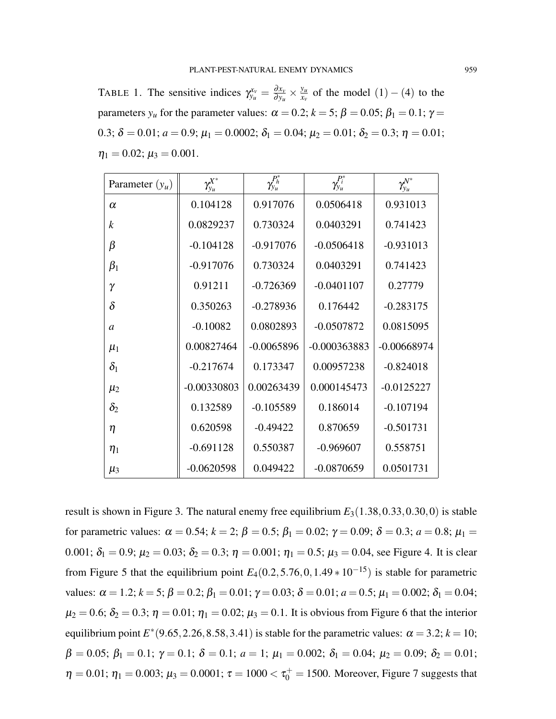TABLE 1. The sensitive indices  $\gamma_{y_u}^{x_v} = \frac{\partial x_v}{\partial y_u}$  $\frac{\partial x_v}{\partial y_u} \times \frac{y_u}{x_v}$  $\frac{y_u}{x_v}$  of the model (1) – (4) to the parameters  $y_u$  for the parameter values:  $\alpha = 0.2$ ;  $k = 5$ ;  $\beta = 0.05$ ;  $\beta_1 = 0.1$ ;  $\gamma =$ 0.3;  $\delta = 0.01$ ;  $a = 0.9$ ;  $\mu_1 = 0.0002$ ;  $\delta_1 = 0.04$ ;  $\mu_2 = 0.01$ ;  $\delta_2 = 0.3$ ;  $\eta = 0.01$ ;  $\eta_1 = 0.02; \mu_3 = 0.001.$ 

| Parameter $(y_u)$ | $\gamma^{X^*}_{y_u}$ | $\gamma_{y_u}^{P_h^*}$ | $\gamma_{y_u}^{P_i^*}$ | $\gamma_{y_u}^{\mathcal{N}^*}$ |
|-------------------|----------------------|------------------------|------------------------|--------------------------------|
| $\alpha$          | 0.104128             | 0.917076               | 0.0506418              | 0.931013                       |
| $\boldsymbol{k}$  | 0.0829237            | 0.730324               | 0.0403291              | 0.741423                       |
| β                 | $-0.104128$          | $-0.917076$            | $-0.0506418$           | $-0.931013$                    |
| $\beta_1$         | $-0.917076$          | 0.730324               | 0.0403291              | 0.741423                       |
| γ                 | 0.91211              | $-0.726369$            | $-0.0401107$           | 0.27779                        |
| $\delta$          | 0.350263             | $-0.278936$            | 0.176442               | $-0.283175$                    |
| $\mathfrak a$     | $-0.10082$           | 0.0802893              | $-0.0507872$           | 0.0815095                      |
| $\mu_1$           | 0.00827464           | $-0.0065896$           | $-0.000363883$         | $-0.00668974$                  |
| $\delta_1$        | $-0.217674$          | 0.173347               | 0.00957238             | $-0.824018$                    |
| $\mu_2$           | $-0.00330803$        | 0.00263439             | 0.000145473            | $-0.0125227$                   |
| $\delta_2$        | 0.132589             | $-0.105589$            | 0.186014               | $-0.107194$                    |
| η                 | 0.620598             | $-0.49422$             | 0.870659               | $-0.501731$                    |
| $\eta_1$          | $-0.691128$          | 0.550387               | $-0.969607$            | 0.558751                       |
| $\mu_3$           | $-0.0620598$         | 0.049422               | $-0.0870659$           | 0.0501731                      |

result is shown in Figure 3. The natural enemy free equilibrium  $E_3(1.38, 0.33, 0.30, 0)$  is stable for parametric values:  $\alpha = 0.54$ ;  $k = 2$ ;  $\beta = 0.5$ ;  $\beta_1 = 0.02$ ;  $\gamma = 0.09$ ;  $\delta = 0.3$ ;  $a = 0.8$ ;  $\mu_1 =$ 0.001;  $\delta_1 = 0.9$ ;  $\mu_2 = 0.03$ ;  $\delta_2 = 0.3$ ;  $\eta = 0.001$ ;  $\eta_1 = 0.5$ ;  $\mu_3 = 0.04$ , see Figure 4. It is clear from Figure 5 that the equilibrium point  $E_4(0.2, 5.76, 0, 1.49 * 10^{-15})$  is stable for parametric values:  $\alpha = 1.2$ ;  $k = 5$ ;  $\beta = 0.2$ ;  $\beta_1 = 0.01$ ;  $\gamma = 0.03$ ;  $\delta = 0.01$ ;  $a = 0.5$ ;  $\mu_1 = 0.002$ ;  $\delta_1 = 0.04$ ;  $\mu_2 = 0.6$ ;  $\delta_2 = 0.3$ ;  $\eta = 0.01$ ;  $\eta_1 = 0.02$ ;  $\mu_3 = 0.1$ . It is obvious from Figure 6 that the interior equilibrium point  $E^*(9.65, 2.26, 8.58, 3.41)$  is stable for the parametric values:  $\alpha = 3.2$ ;  $k = 10$ ;  $\beta = 0.05; \beta_1 = 0.1; \gamma = 0.1; \delta = 0.1; a = 1; \mu_1 = 0.002; \delta_1 = 0.04; \mu_2 = 0.09; \delta_2 = 0.01;$  $η = 0.01; η<sub>1</sub> = 0.003; μ<sub>3</sub> = 0.0001; τ = 1000 < τ<sub>0</sub><sup>+</sup> = 1500. Moreover, Figure 7 suggests that$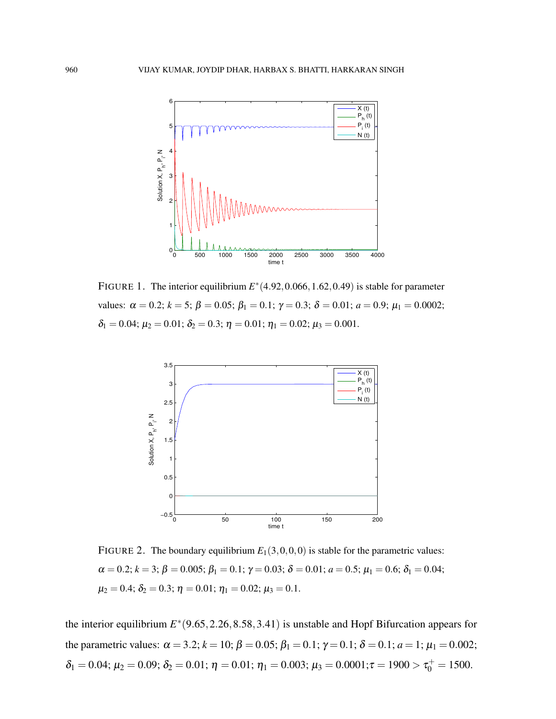

FIGURE 1. The interior equilibrium  $E^*(4.92, 0.066, 1.62, 0.49)$  is stable for parameter values:  $\alpha = 0.2$ ;  $k = 5$ ;  $\beta = 0.05$ ;  $\beta_1 = 0.1$ ;  $\gamma = 0.3$ ;  $\delta = 0.01$ ;  $a = 0.9$ ;  $\mu_1 = 0.0002$ ;  $\delta_1 = 0.04; \mu_2 = 0.01; \delta_2 = 0.3; \eta = 0.01; \eta_1 = 0.02; \mu_3 = 0.001.$ 



FIGURE 2. The boundary equilibrium  $E_1(3,0,0,0)$  is stable for the parametric values:  $\alpha = 0.2; k = 3; \beta = 0.005; \beta_1 = 0.1; \gamma = 0.03; \delta = 0.01; a = 0.5; \mu_1 = 0.6; \delta_1 = 0.04;$  $\mu_2 = 0.4; \delta_2 = 0.3; \eta = 0.01; \eta_1 = 0.02; \mu_3 = 0.1.$ 

the interior equilibrium  $E^*(9.65, 2.26, 8.58, 3.41)$  is unstable and Hopf Bifurcation appears for the parametric values:  $\alpha = 3.2$ ;  $k = 10$ ;  $\beta = 0.05$ ;  $\beta_1 = 0.1$ ;  $\gamma = 0.1$ ;  $\delta = 0.1$ ;  $a = 1$ ;  $\mu_1 = 0.002$ ;  $δ<sub>1</sub> = 0.04; μ<sub>2</sub> = 0.09; δ<sub>2</sub> = 0.01; η = 0.01; η<sub>1</sub> = 0.003; μ<sub>3</sub> = 0.0001; τ = 1900 > τ<sub>0</sub><sup>+</sup> = 1500.$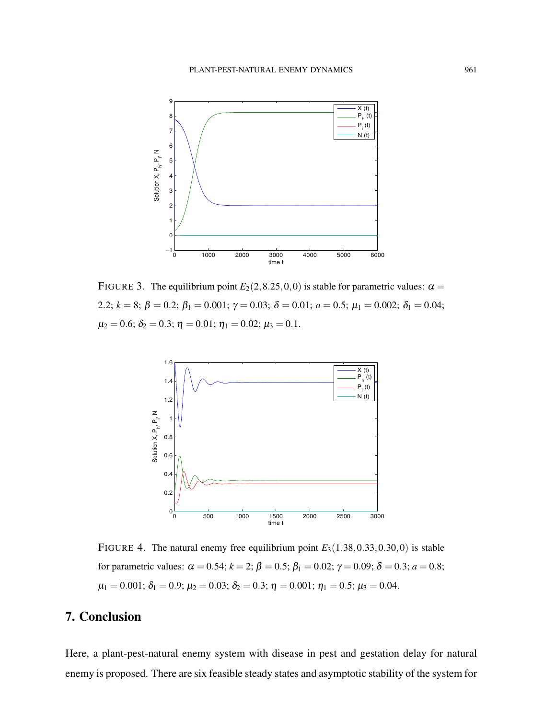

FIGURE 3. The equilibrium point  $E_2(2,8.25,0,0)$  is stable for parametric values:  $\alpha =$ 2.2;  $k = 8$ ;  $\beta = 0.2$ ;  $\beta_1 = 0.001$ ;  $\gamma = 0.03$ ;  $\delta = 0.01$ ;  $a = 0.5$ ;  $\mu_1 = 0.002$ ;  $\delta_1 = 0.04$ ;  $\mu_2 = 0.6; \delta_2 = 0.3; \eta = 0.01; \eta_1 = 0.02; \mu_3 = 0.1.$ 



FIGURE 4. The natural enemy free equilibrium point  $E_3(1.38, 0.33, 0.30, 0)$  is stable for parametric values:  $\alpha = 0.54$ ;  $k = 2$ ;  $\beta = 0.5$ ;  $\beta_1 = 0.02$ ;  $\gamma = 0.09$ ; δ = 0.3; a = 0.8;  $\mu_1 = 0.001; \delta_1 = 0.9; \mu_2 = 0.03; \delta_2 = 0.3; \eta = 0.001; \eta_1 = 0.5; \mu_3 = 0.04.$ 

# 7. Conclusion

Here, a plant-pest-natural enemy system with disease in pest and gestation delay for natural enemy is proposed. There are six feasible steady states and asymptotic stability of the system for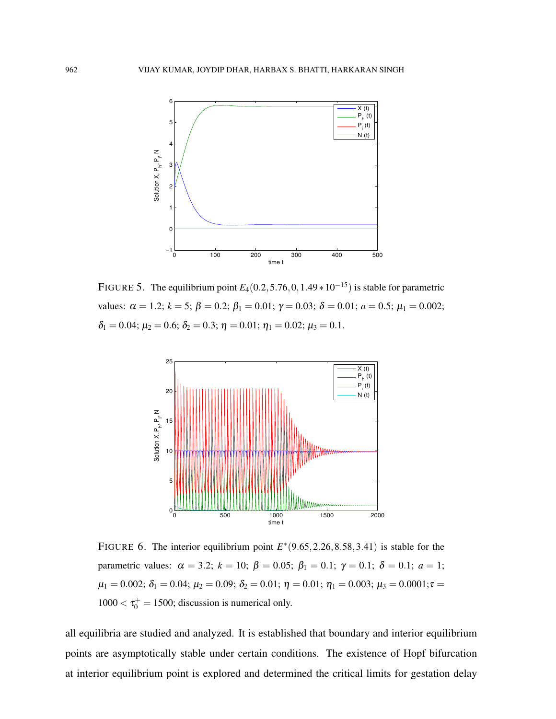

FIGURE 5. The equilibrium point  $E_4(0.2, 5.76, 0, 1.49 \times 10^{-15})$  is stable for parametric values:  $\alpha = 1.2$ ;  $k = 5$ ;  $\beta = 0.2$ ;  $\beta_1 = 0.01$ ;  $\gamma = 0.03$ ;  $\delta = 0.01$ ;  $a = 0.5$ ;  $\mu_1 = 0.002$ ;  $\delta_1 = 0.04; \mu_2 = 0.6; \delta_2 = 0.3; \eta = 0.01; \eta_1 = 0.02; \mu_3 = 0.1.$ 



FIGURE 6. The interior equilibrium point  $E^*(9.65, 2.26, 8.58, 3.41)$  is stable for the parametric values:  $\alpha = 3.2$ ;  $k = 10$ ;  $\beta = 0.05$ ;  $\beta_1 = 0.1$ ;  $\gamma = 0.1$ ;  $\delta = 0.1$ ;  $a = 1$ ;  $\mu_1 = 0.002; \delta_1 = 0.04; \mu_2 = 0.09; \delta_2 = 0.01; \eta = 0.01; \eta_1 = 0.003; \mu_3 = 0.0001; \tau =$  $1000 < \tau_0^+ = 1500$ ; discussion is numerical only.

all equilibria are studied and analyzed. It is established that boundary and interior equilibrium points are asymptotically stable under certain conditions. The existence of Hopf bifurcation at interior equilibrium point is explored and determined the critical limits for gestation delay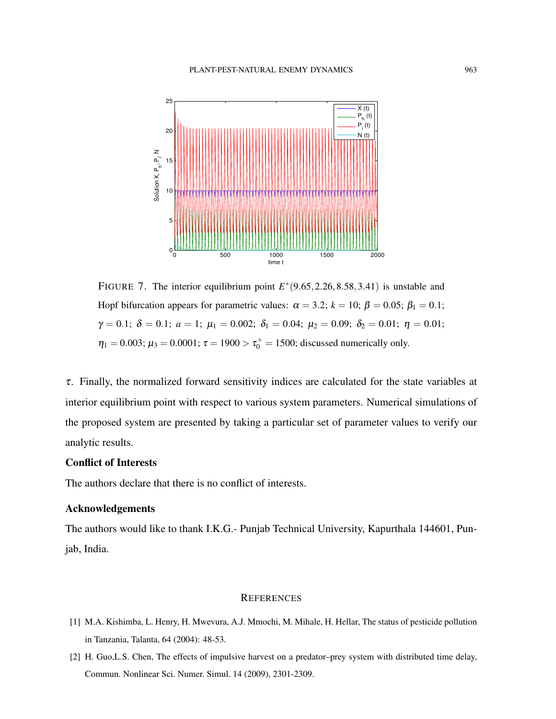

FIGURE 7. The interior equilibrium point  $E^*(9.65, 2.26, 8.58, 3.41)$  is unstable and Hopf bifurcation appears for parametric values:  $\alpha = 3.2$ ;  $k = 10$ ;  $\beta = 0.05$ ;  $\beta_1 = 0.1$ ;  $\gamma = 0.1; \delta = 0.1; \alpha = 1; \mu_1 = 0.002; \delta_1 = 0.04; \mu_2 = 0.09; \delta_2 = 0.01; \eta = 0.01;$  $\eta_1 = 0.003; \mu_3 = 0.0001; \tau = 1900 > \tau_0^+ = 1500;$  discussed numerically only.

 $\tau$ . Finally, the normalized forward sensitivity indices are calculated for the state variables at interior equilibrium point with respect to various system parameters. Numerical simulations of the proposed system are presented by taking a particular set of parameter values to verify our analytic results.

#### Conflict of Interests

The authors declare that there is no conflict of interests.

#### Acknowledgements

The authors would like to thank I.K.G.- Punjab Technical University, Kapurthala 144601, Punjab, India.

#### **REFERENCES**

- [1] M.A. Kishimba, L. Henry, H. Mwevura, A.J. Mmochi, M. Mihale, H. Hellar, The status of pesticide pollution in Tanzania, Talanta, 64 (2004): 48-53.
- [2] H. Guo,L.S. Chen, The effects of impulsive harvest on a predator–prey system with distributed time delay, Commun. Nonlinear Sci. Numer. Simul. 14 (2009), 2301-2309.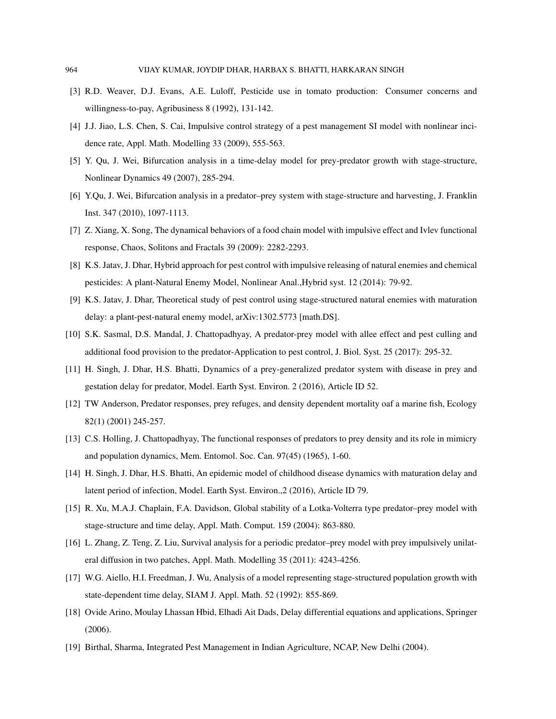- [3] R.D. Weaver, D.J. Evans, A.E. Luloff, Pesticide use in tomato production: Consumer concerns and willingness-to-pay, Agribusiness 8 (1992), 131-142.
- [4] J.J. Jiao, L.S. Chen, S. Cai, Impulsive control strategy of a pest management SI model with nonlinear incidence rate, Appl. Math. Modelling 33 (2009), 555-563.
- [5] Y. Qu, J. Wei, Bifurcation analysis in a time-delay model for prey-predator growth with stage-structure, Nonlinear Dynamics 49 (2007), 285-294.
- [6] Y.Qu, J. Wei, Bifurcation analysis in a predator–prey system with stage-structure and harvesting, J. Franklin Inst. 347 (2010), 1097-1113.
- [7] Z. Xiang, X. Song, The dynamical behaviors of a food chain model with impulsive effect and Ivlev functional response, Chaos, Solitons and Fractals 39 (2009): 2282-2293.
- [8] K.S. Jatav, J. Dhar, Hybrid approach for pest control with impulsive releasing of natural enemies and chemical pesticides: A plant-Natural Enemy Model, Nonlinear Anal.,Hybrid syst. 12 (2014): 79-92.
- [9] K.S. Jatav, J. Dhar, Theoretical study of pest control using stage-structured natural enemies with maturation delay: a plant-pest-natural enemy model, arXiv:1302.5773 [math.DS].
- [10] S.K. Sasmal, D.S. Mandal, J. Chattopadhyay, A predator-prey model with allee effect and pest culling and additional food provision to the predator-Application to pest control, J. Biol. Syst. 25 (2017): 295-32.
- [11] H. Singh, J. Dhar, H.S. Bhatti, Dynamics of a prey-generalized predator system with disease in prey and gestation delay for predator, Model. Earth Syst. Environ. 2 (2016), Article ID 52.
- [12] TW Anderson, Predator responses, prey refuges, and density dependent mortality oaf a marine fish, Ecology 82(1) (2001) 245-257.
- [13] C.S. Holling, J. Chattopadhyay, The functional responses of predators to prey density and its role in mimicry and population dynamics, Mem. Entomol. Soc. Can. 97(45) (1965), 1-60.
- [14] H. Singh, J. Dhar, H.S. Bhatti, An epidemic model of childhood disease dynamics with maturation delay and latent period of infection, Model. Earth Syst. Environ.,2 (2016), Article ID 79.
- [15] R. Xu, M.A.J. Chaplain, F.A. Davidson, Global stability of a Lotka-Volterra type predator–prey model with stage-structure and time delay, Appl. Math. Comput. 159 (2004): 863-880.
- [16] L. Zhang, Z. Teng, Z. Liu, Survival analysis for a periodic predator–prey model with prey impulsively unilateral diffusion in two patches, Appl. Math. Modelling 35 (2011): 4243-4256.
- [17] W.G. Aiello, H.I. Freedman, J. Wu, Analysis of a model representing stage-structured population growth with state-dependent time delay, SIAM J. Appl. Math. 52 (1992): 855-869.
- [18] Ovide Arino, Moulay Lhassan Hbid, Elhadi Ait Dads, Delay differential equations and applications, Springer (2006).
- [19] Birthal, Sharma, Integrated Pest Management in Indian Agriculture, NCAP, New Delhi (2004).